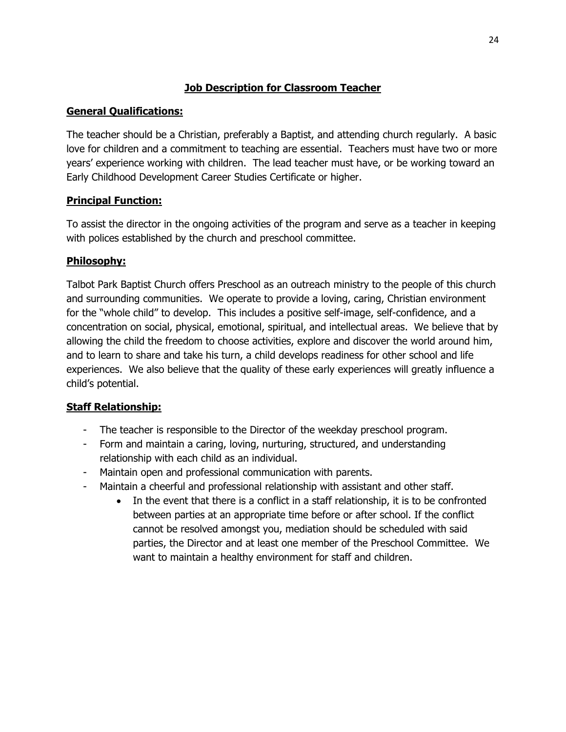## **Job Description for Classroom Teacher**

#### **General Qualifications:**

The teacher should be a Christian, preferably a Baptist, and attending church regularly. A basic love for children and a commitment to teaching are essential. Teachers must have two or more years' experience working with children. The lead teacher must have, or be working toward an Early Childhood Development Career Studies Certificate or higher.

### **Principal Function:**

To assist the director in the ongoing activities of the program and serve as a teacher in keeping with polices established by the church and preschool committee.

### **Philosophy:**

Talbot Park Baptist Church offers Preschool as an outreach ministry to the people of this church and surrounding communities. We operate to provide a loving, caring, Christian environment for the "whole child" to develop. This includes a positive self-image, self-confidence, and a concentration on social, physical, emotional, spiritual, and intellectual areas. We believe that by allowing the child the freedom to choose activities, explore and discover the world around him, and to learn to share and take his turn, a child develops readiness for other school and life experiences. We also believe that the quality of these early experiences will greatly influence a child's potential.

## **Staff Relationship:**

- The teacher is responsible to the Director of the weekday preschool program.
- Form and maintain a caring, loving, nurturing, structured, and understanding relationship with each child as an individual.
- Maintain open and professional communication with parents.
- Maintain a cheerful and professional relationship with assistant and other staff.
	- In the event that there is a conflict in a staff relationship, it is to be confronted between parties at an appropriate time before or after school. If the conflict cannot be resolved amongst you, mediation should be scheduled with said parties, the Director and at least one member of the Preschool Committee. We want to maintain a healthy environment for staff and children.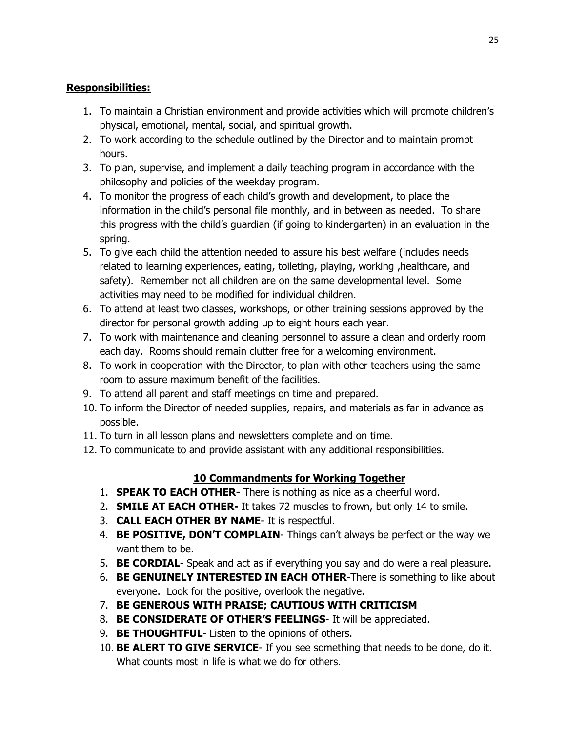## **Responsibilities:**

- 1. To maintain a Christian environment and provide activities which will promote children's physical, emotional, mental, social, and spiritual growth.
- 2. To work according to the schedule outlined by the Director and to maintain prompt hours.
- 3. To plan, supervise, and implement a daily teaching program in accordance with the philosophy and policies of the weekday program.
- 4. To monitor the progress of each child's growth and development, to place the information in the child's personal file monthly, and in between as needed. To share this progress with the child's guardian (if going to kindergarten) in an evaluation in the spring.
- 5. To give each child the attention needed to assure his best welfare (includes needs related to learning experiences, eating, toileting, playing, working ,healthcare, and safety). Remember not all children are on the same developmental level. Some activities may need to be modified for individual children.
- 6. To attend at least two classes, workshops, or other training sessions approved by the director for personal growth adding up to eight hours each year.
- 7. To work with maintenance and cleaning personnel to assure a clean and orderly room each day. Rooms should remain clutter free for a welcoming environment.
- 8. To work in cooperation with the Director, to plan with other teachers using the same room to assure maximum benefit of the facilities.
- 9. To attend all parent and staff meetings on time and prepared.
- 10. To inform the Director of needed supplies, repairs, and materials as far in advance as possible.
- 11. To turn in all lesson plans and newsletters complete and on time.
- 12. To communicate to and provide assistant with any additional responsibilities.

## **10 Commandments for Working Together**

- 1. **SPEAK TO EACH OTHER-** There is nothing as nice as a cheerful word.
- 2. **SMILE AT EACH OTHER-** It takes 72 muscles to frown, but only 14 to smile.
- 3. **CALL EACH OTHER BY NAME** It is respectful.
- 4. **BE POSITIVE, DON'T COMPLAIN** Things can't always be perfect or the way we want them to be.
- 5. **BE CORDIAL** Speak and act as if everything you say and do were a real pleasure.
- 6. **BE GENUINELY INTERESTED IN EACH OTHER**-There is something to like about everyone. Look for the positive, overlook the negative.
- 7. **BE GENEROUS WITH PRAISE; CAUTIOUS WITH CRITICISM**
- 8. **BE CONSIDERATE OF OTHER'S FEELINGS** It will be appreciated.
- 9. **BE THOUGHTFUL** Listen to the opinions of others.
- 10. **BE ALERT TO GIVE SERVICE** If you see something that needs to be done, do it. What counts most in life is what we do for others.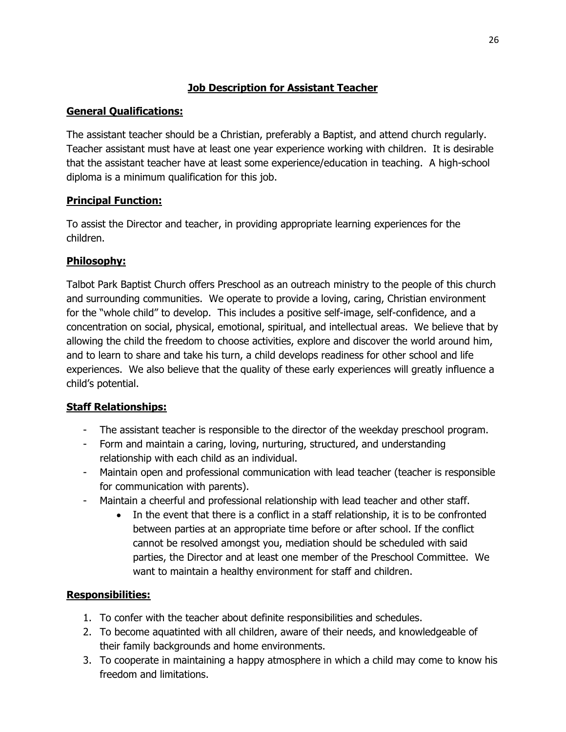# **Job Description for Assistant Teacher**

## **General Qualifications:**

The assistant teacher should be a Christian, preferably a Baptist, and attend church regularly. Teacher assistant must have at least one year experience working with children. It is desirable that the assistant teacher have at least some experience/education in teaching. A high-school diploma is a minimum qualification for this job.

## **Principal Function:**

To assist the Director and teacher, in providing appropriate learning experiences for the children.

### **Philosophy:**

Talbot Park Baptist Church offers Preschool as an outreach ministry to the people of this church and surrounding communities. We operate to provide a loving, caring, Christian environment for the "whole child" to develop. This includes a positive self-image, self-confidence, and a concentration on social, physical, emotional, spiritual, and intellectual areas. We believe that by allowing the child the freedom to choose activities, explore and discover the world around him, and to learn to share and take his turn, a child develops readiness for other school and life experiences. We also believe that the quality of these early experiences will greatly influence a child's potential.

## **Staff Relationships:**

- The assistant teacher is responsible to the director of the weekday preschool program.
- Form and maintain a caring, loving, nurturing, structured, and understanding relationship with each child as an individual.
- Maintain open and professional communication with lead teacher (teacher is responsible for communication with parents).
- Maintain a cheerful and professional relationship with lead teacher and other staff.
	- In the event that there is a conflict in a staff relationship, it is to be confronted between parties at an appropriate time before or after school. If the conflict cannot be resolved amongst you, mediation should be scheduled with said parties, the Director and at least one member of the Preschool Committee. We want to maintain a healthy environment for staff and children.

## **Responsibilities:**

- 1. To confer with the teacher about definite responsibilities and schedules.
- 2. To become aquatinted with all children, aware of their needs, and knowledgeable of their family backgrounds and home environments.
- 3. To cooperate in maintaining a happy atmosphere in which a child may come to know his freedom and limitations.